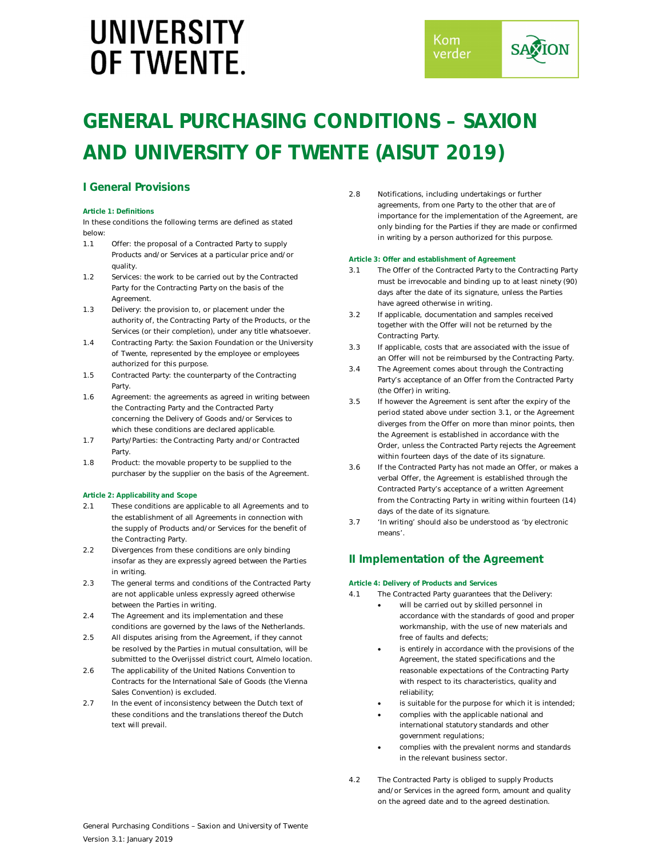## **GENERAL PURCHASING CONDITIONS – SAXION AND UNIVERSITY OF TWENTE (AISUT 2019)**

## **I General Provisions**

## **Article 1: Definitions**

In these conditions the following terms are defined as stated below:

- 1.1 Offer: the proposal of a Contracted Party to supply Products and/or Services at a particular price and/or quality.
- 1.2 Services: the work to be carried out by the Contracted Party for the Contracting Party on the basis of the Agreement.
- 1.3 Delivery: the provision to, or placement under the authority of, the Contracting Party of the Products, or the Services (or their completion), under any title whatsoever.
- 1.4 Contracting Party: the Saxion Foundation or the University of Twente, represented by the employee or employees authorized for this purpose.
- 1.5 Contracted Party: the counterparty of the Contracting Party.
- 1.6 Agreement: the agreements as agreed in writing between the Contracting Party and the Contracted Party concerning the Delivery of Goods and/or Services to which these conditions are declared applicable.
- 1.7 Party/Parties: the Contracting Party and/or Contracted Party.
- 1.8 Product: the movable property to be supplied to the purchaser by the supplier on the basis of the Agreement.

## **Article 2: Applicability and Scope**

- 2.1 These conditions are applicable to all Agreements and to the establishment of all Agreements in connection with the supply of Products and/or Services for the benefit of the Contracting Party.
- 2.2 Divergences from these conditions are only binding insofar as they are expressly agreed between the Parties in writing.
- 2.3 The general terms and conditions of the Contracted Party are not applicable unless expressly agreed otherwise between the Parties in writing.
- 2.4 The Agreement and its implementation and these conditions are governed by the laws of the Netherlands.
- 2.5 All disputes arising from the Agreement, if they cannot be resolved by the Parties in mutual consultation, will be submitted to the Overijssel district court, Almelo location.
- 2.6 The applicability of the United Nations Convention to Contracts for the International Sale of Goods (the Vienna Sales Convention) is excluded.
- 2.7 In the event of inconsistency between the Dutch text of these conditions and the translations thereof the Dutch text will prevail.

2.8 Notifications, including undertakings or further agreements, from one Party to the other that are of importance for the implementation of the Agreement, are only binding for the Parties if they are made or confirmed in writing by a person authorized for this purpose.

## **Article 3: Offer and establishment of Agreement**

- 3.1 The Offer of the Contracted Party to the Contracting Party must be irrevocable and binding up to at least ninety (90) days after the date of its signature, unless the Parties have agreed otherwise in writing.
- 3.2 If applicable, documentation and samples received together with the Offer will not be returned by the Contracting Party.
- 3.3 If applicable, costs that are associated with the issue of an Offer will not be reimbursed by the Contracting Party.
- 3.4 The Agreement comes about through the Contracting Party's acceptance of an Offer from the Contracted Party (the Offer) in writing.
- 3.5 If however the Agreement is sent after the expiry of the period stated above under section 3.1, or the Agreement diverges from the Offer on more than minor points, then the Agreement is established in accordance with the Order, unless the Contracted Party rejects the Agreement within fourteen days of the date of its signature.
- 3.6 If the Contracted Party has not made an Offer, or makes a verbal Offer, the Agreement is established through the Contracted Party's acceptance of a written Agreement from the Contracting Party in writing within fourteen (14) days of the date of its signature.
- 3.7 'In writing' should also be understood as 'by electronic means'.

## **II Implementation of the Agreement**

## **Article 4: Delivery of Products and Services**

- 4.1 The Contracted Party guarantees that the Delivery:
	- will be carried out by skilled personnel in accordance with the standards of good and proper workmanship, with the use of new materials and free of faults and defects;
	- is entirely in accordance with the provisions of the Agreement, the stated specifications and the reasonable expectations of the Contracting Party with respect to its characteristics, quality and reliability;
	- is suitable for the purpose for which it is intended;
	- complies with the applicable national and international statutory standards and other government regulations;
	- complies with the prevalent norms and standards in the relevant business sector.
- 4.2 The Contracted Party is obliged to supply Products and/or Services in the agreed form, amount and quality on the agreed date and to the agreed destination.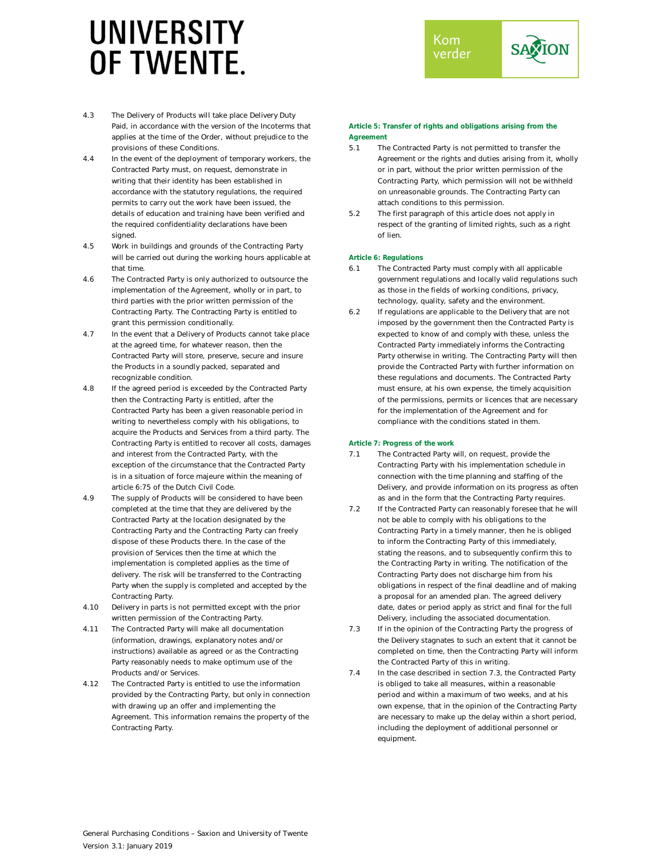

- 4.3 The Delivery of Products will take place Delivery Duty Paid, in accordance with the version of the Incoterms that applies at the time of the Order, without prejudice to the provisions of these Conditions.
- 4.4 In the event of the deployment of temporary workers, the Contracted Party must, on request, demonstrate in writing that their identity has been established in accordance with the statutory regulations, the required permits to carry out the work have been issued, the details of education and training have been verified and the required confidentiality declarations have been signed.
- 4.5 Work in buildings and grounds of the Contracting Party will be carried out during the working hours applicable at that time.
- 4.6 The Contracted Party is only authorized to outsource the implementation of the Agreement, wholly or in part, to third parties with the prior written permission of the Contracting Party. The Contracting Party is entitled to grant this permission conditionally.
- 4.7 In the event that a Delivery of Products cannot take place at the agreed time, for whatever reason, then the Contracted Party will store, preserve, secure and insure the Products in a soundly packed, separated and recognizable condition.
- 4.8 If the agreed period is exceeded by the Contracted Party then the Contracting Party is entitled, after the Contracted Party has been a given reasonable period in writing to nevertheless comply with his obligations, to acquire the Products and Services from a third party. The Contracting Party is entitled to recover all costs, damages and interest from the Contracted Party, with the exception of the circumstance that the Contracted Party is in a situation of force majeure within the meaning of article 6:75 of the Dutch Civil Code.
- 4.9 The supply of Products will be considered to have been completed at the time that they are delivered by the Contracted Party at the location designated by the Contracting Party and the Contracting Party can freely dispose of these Products there. In the case of the provision of Services then the time at which the implementation is completed applies as the time of delivery. The risk will be transferred to the Contracting Party when the supply is completed and accepted by the Contracting Party.
- 4.10 Delivery in parts is not permitted except with the prior written permission of the Contracting Party.
- 4.11 The Contracted Party will make all documentation (information, drawings, explanatory notes and/or instructions) available as agreed or as the Contracting Party reasonably needs to make optimum use of the Products and/or Services.
- 4.12 The Contracted Party is entitled to use the information provided by the Contracting Party, but only in connection with drawing up an offer and implementing the Agreement. This information remains the property of the Contracting Party.

## **Article 5: Transfer of rights and obligations arising from the Agreement**

- 5.1 The Contracted Party is not permitted to transfer the Agreement or the rights and duties arising from it, wholly or in part, without the prior written permission of the Contracting Party, which permission will not be withheld on unreasonable grounds. The Contracting Party can attach conditions to this permission.
- 5.2 The first paragraph of this article does not apply in respect of the granting of limited rights, such as a right of lien.

## **Article 6: Regulations**

- 6.1 The Contracted Party must comply with all applicable government regulations and locally valid regulations such as those in the fields of working conditions, privacy, technology, quality, safety and the environment.
- 6.2 If regulations are applicable to the Delivery that are not imposed by the government then the Contracted Party is expected to know of and comply with these, unless the Contracted Party immediately informs the Contracting Party otherwise in writing. The Contracting Party will then provide the Contracted Party with further information on these regulations and documents. The Contracted Party must ensure, at his own expense, the timely acquisition of the permissions, permits or licences that are necessary for the implementation of the Agreement and for compliance with the conditions stated in them.

## **Article 7: Progress of the work**

- 7.1 The Contracted Party will, on request, provide the Contracting Party with his implementation schedule in connection with the time planning and staffing of the Delivery, and provide information on its progress as often as and in the form that the Contracting Party requires.
- 7.2 If the Contracted Party can reasonably foresee that he will not be able to comply with his obligations to the Contracting Party in a timely manner, then he is obliged to inform the Contracting Party of this immediately, stating the reasons, and to subsequently confirm this to the Contracting Party in writing. The notification of the Contracting Party does not discharge him from his obligations in respect of the final deadline and of making a proposal for an amended plan. The agreed delivery date, dates or period apply as strict and final for the full Delivery, including the associated documentation.
- 7.3 If in the opinion of the Contracting Party the progress of the Delivery stagnates to such an extent that it cannot be completed on time, then the Contracting Party will inform the Contracted Party of this in writing.
- 7.4 In the case described in section 7.3, the Contracted Party is obliged to take all measures, within a reasonable period and within a maximum of two weeks, and at his own expense, that in the opinion of the Contracting Party are necessary to make up the delay within a short period, including the deployment of additional personnel or equipment.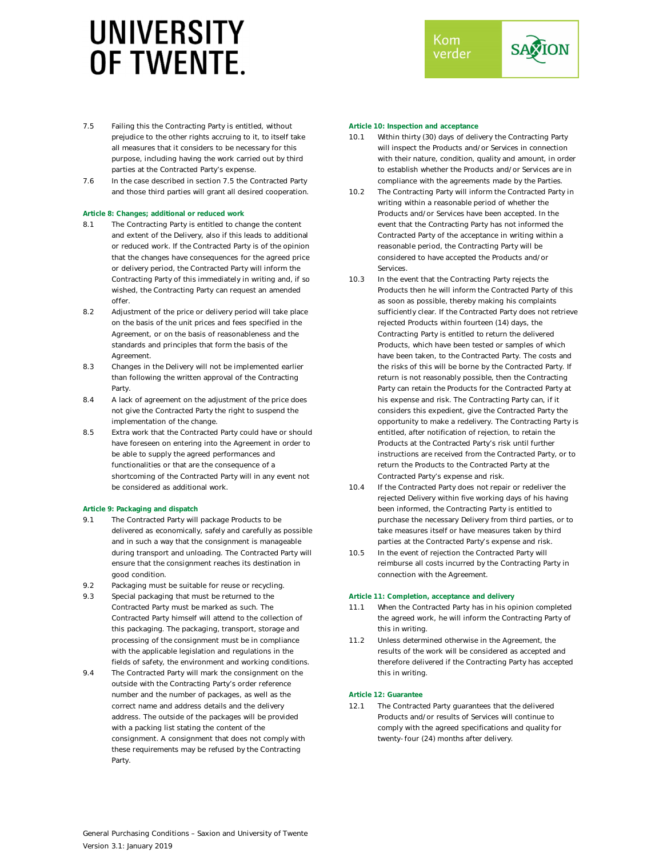

- 7.5 Failing this the Contracting Party is entitled, without prejudice to the other rights accruing to it, to itself take all measures that it considers to be necessary for this purpose, including having the work carried out by third parties at the Contracted Party's expense.
- 7.6 In the case described in section 7.5 the Contracted Party and those third parties will grant all desired cooperation.

## **Article 8: Changes; additional or reduced work**

- 8.1 The Contracting Party is entitled to change the content and extent of the Delivery, also if this leads to additional or reduced work. If the Contracted Party is of the opinion that the changes have consequences for the agreed price or delivery period, the Contracted Party will inform the Contracting Party of this immediately in writing and, if so wished, the Contracting Party can request an amended offer.
- 8.2 Adjustment of the price or delivery period will take place on the basis of the unit prices and fees specified in the Agreement, or on the basis of reasonableness and the standards and principles that form the basis of the Agreement.
- 8.3 Changes in the Delivery will not be implemented earlier than following the written approval of the Contracting **Party**
- 8.4 A lack of agreement on the adjustment of the price does not give the Contracted Party the right to suspend the implementation of the change.
- 8.5 Extra work that the Contracted Party could have or should have foreseen on entering into the Agreement in order to be able to supply the agreed performances and functionalities or that are the consequence of a shortcoming of the Contracted Party will in any event not be considered as additional work.

## **Article 9: Packaging and dispatch**

- 9.1 The Contracted Party will package Products to be delivered as economically, safely and carefully as possible and in such a way that the consignment is manageable during transport and unloading. The Contracted Party will ensure that the consignment reaches its destination in good condition.
- 9.2 Packaging must be suitable for reuse or recycling.
- 9.3 Special packaging that must be returned to the Contracted Party must be marked as such. The Contracted Party himself will attend to the collection of this packaging. The packaging, transport, storage and processing of the consignment must be in compliance with the applicable legislation and regulations in the fields of safety, the environment and working conditions.
- 9.4 The Contracted Party will mark the consignment on the outside with the Contracting Party's order reference number and the number of packages, as well as the correct name and address details and the delivery address. The outside of the packages will be provided with a packing list stating the content of the consignment. A consignment that does not comply with these requirements may be refused by the Contracting Party.

### **Article 10: Inspection and acceptance**

- 10.1 Within thirty (30) days of delivery the Contracting Party will inspect the Products and/or Services in connection with their nature, condition, quality and amount, in order to establish whether the Products and/or Services are in compliance with the agreements made by the Parties.
- 10.2 The Contracting Party will inform the Contracted Party in writing within a reasonable period of whether the Products and/or Services have been accepted. In the event that the Contracting Party has not informed the Contracted Party of the acceptance in writing within a reasonable period, the Contracting Party will be considered to have accepted the Products and/or **Services**
- 10.3 In the event that the Contracting Party rejects the Products then he will inform the Contracted Party of this as soon as possible, thereby making his complaints sufficiently clear. If the Contracted Party does not retrieve rejected Products within fourteen (14) days, the Contracting Party is entitled to return the delivered Products, which have been tested or samples of which have been taken, to the Contracted Party. The costs and the risks of this will be borne by the Contracted Party. If return is not reasonably possible, then the Contracting Party can retain the Products for the Contracted Party at his expense and risk. The Contracting Party can, if it considers this expedient, give the Contracted Party the opportunity to make a redelivery. The Contracting Party is entitled, after notification of rejection, to retain the Products at the Contracted Party's risk until further instructions are received from the Contracted Party, or to return the Products to the Contracted Party at the Contracted Party's expense and risk.
- 10.4 If the Contracted Party does not repair or redeliver the rejected Delivery within five working days of his having been informed, the Contracting Party is entitled to purchase the necessary Delivery from third parties, or to take measures itself or have measures taken by third parties at the Contracted Party's expense and risk.
- 10.5 In the event of rejection the Contracted Party will reimburse all costs incurred by the Contracting Party in connection with the Agreement.

## **Article 11: Completion, acceptance and delivery**

- 11.1 When the Contracted Party has in his opinion completed the agreed work, he will inform the Contracting Party of this in writing.
- 11.2 Unless determined otherwise in the Agreement, the results of the work will be considered as accepted and therefore delivered if the Contracting Party has accepted this in writing.

## **Article 12: Guarantee**

12.1 The Contracted Party guarantees that the delivered Products and/or results of Services will continue to comply with the agreed specifications and quality for twenty-four (24) months after delivery.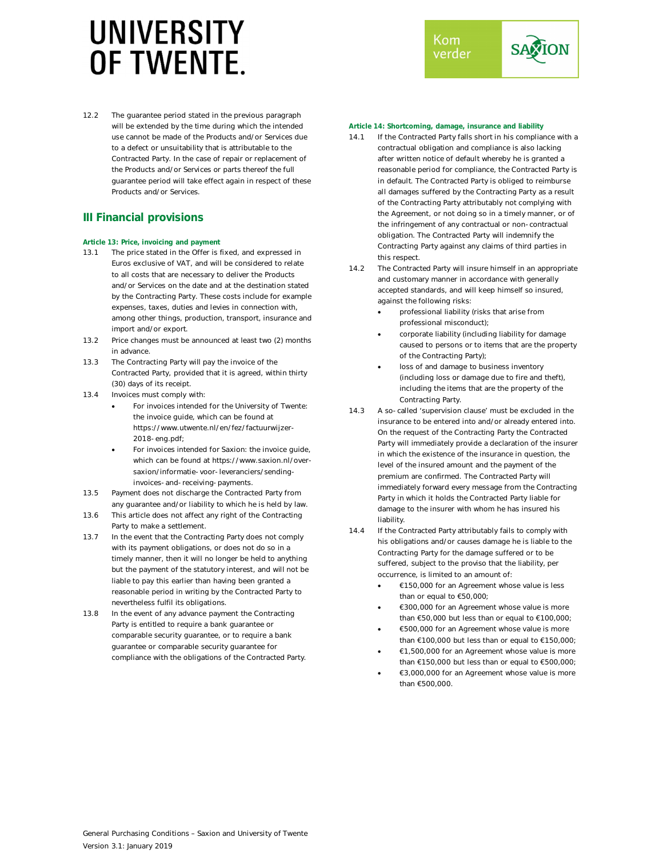12.2 The guarantee period stated in the previous paragraph will be extended by the time during which the intended use cannot be made of the Products and/or Services due to a defect or unsuitability that is attributable to the Contracted Party. In the case of repair or replacement of the Products and/or Services or parts thereof the full guarantee period will take effect again in respect of these Products and/or Services.

## **III Financial provisions**

## **Article 13: Price, invoicing and payment**

- 13.1 The price stated in the Offer is fixed, and expressed in Euros exclusive of VAT, and will be considered to relate to all costs that are necessary to deliver the Products and/or Services on the date and at the destination stated by the Contracting Party. These costs include for example expenses, taxes, duties and levies in connection with, among other things, production, transport, insurance and import and/or export.
- 13.2 Price changes must be announced at least two (2) months in advance.
- 13.3 The Contracting Party will pay the invoice of the Contracted Party, provided that it is agreed, within thirty (30) days of its receipt.
- 13.4 Invoices must comply with:
	- For invoices intended for the University of Twente: the invoice guide, which can be found at https://www.utwente.nl/en/fez/factuurwijzer-2018-eng.pdf;
	- For invoices intended for Saxion: the invoice guide, which can be found at https://www.saxion.nl/oversaxion/informatie-voor-leveranciers/sendinginvoices-and-receiving-payments.
- 13.5 Payment does not discharge the Contracted Party from any guarantee and/or liability to which he is held by law.
- 13.6 This article does not affect any right of the Contracting Party to make a settlement.
- 13.7 In the event that the Contracting Party does not comply with its payment obligations, or does not do so in a timely manner, then it will no longer be held to anything but the payment of the statutory interest, and will not be liable to pay this earlier than having been granted a reasonable period in writing by the Contracted Party to nevertheless fulfil its obligations.
- 13.8 In the event of any advance payment the Contracting Party is entitled to require a bank guarantee or comparable security guarantee, or to require a bank guarantee or comparable security guarantee for compliance with the obligations of the Contracted Party.



## **Article 14: Shortcoming, damage, insurance and liability**

- 14.1 If the Contracted Party falls short in his compliance with a contractual obligation and compliance is also lacking after written notice of default whereby he is granted a reasonable period for compliance, the Contracted Party is in default. The Contracted Party is obliged to reimburse all damages suffered by the Contracting Party as a result of the Contracting Party attributably not complying with the Agreement, or not doing so in a timely manner, or of the infringement of any contractual or non-contractual obligation. The Contracted Party will indemnify the Contracting Party against any claims of third parties in this respect.
- 14.2 The Contracted Party will insure himself in an appropriate and customary manner in accordance with generally accepted standards, and will keep himself so insured, against the following risks:
	- professional liability (risks that arise from professional misconduct);
	- corporate liability (including liability for damage caused to persons or to items that are the property of the Contracting Party);
	- loss of and damage to business inventory (including loss or damage due to fire and theft), including the items that are the property of the Contracting Party.
- 14.3 A so-called 'supervision clause' must be excluded in the insurance to be entered into and/or already entered into. On the request of the Contracting Party the Contracted Party will immediately provide a declaration of the insurer in which the existence of the insurance in question, the level of the insured amount and the payment of the premium are confirmed. The Contracted Party will immediately forward every message from the Contracting Party in which it holds the Contracted Party liable for damage to the insurer with whom he has insured his liability.
- 14.4 If the Contracted Party attributably fails to comply with his obligations and/or causes damage he is liable to the Contracting Party for the damage suffered or to be suffered, subject to the proviso that the liability, per occurrence, is limited to an amount of:
	- €150,000 for an Agreement whose value is less than or equal to €50,000;
	- €300,000 for an Agreement whose value is more than €50,000 but less than or equal to €100,000;
	- €500,000 for an Agreement whose value is more than €100,000 but less than or equal to €150,000;
	- €1,500,000 for an Agreement whose value is more than €150,000 but less than or equal to €500,000;
	- €3,000,000 for an Agreement whose value is more than €500,000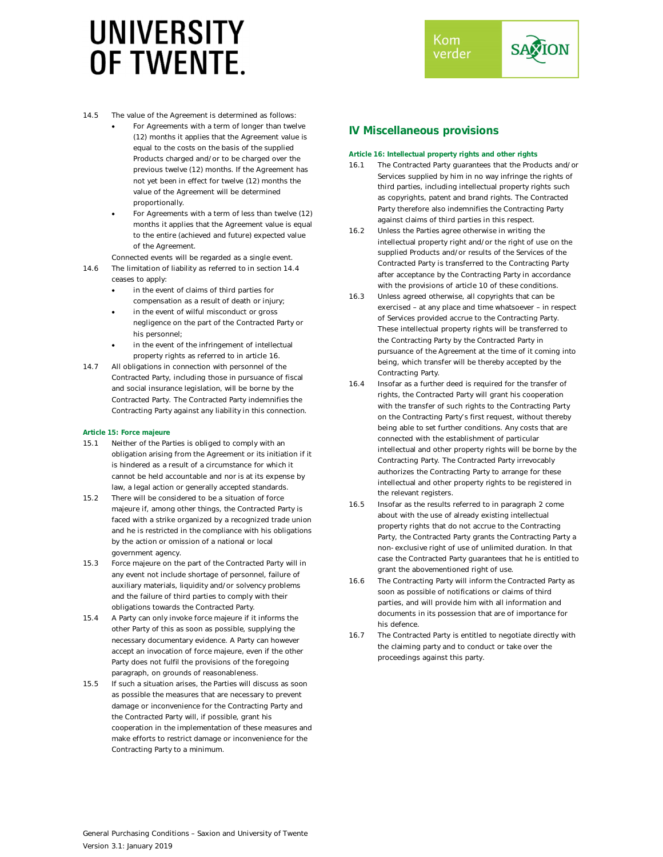

- 14.5 The value of the Agreement is determined as follows:
	- For Agreements with a term of longer than twelve (12) months it applies that the Agreement value is equal to the costs on the basis of the supplied Products charged and/or to be charged over the previous twelve (12) months. If the Agreement has not yet been in effect for twelve (12) months the value of the Agreement will be determined proportionally.
	- For Agreements with a term of less than twelve (12) months it applies that the Agreement value is equal to the entire (achieved and future) expected value of the Agreement.
- Connected events will be regarded as a single event. 14.6 The limitation of liability as referred to in section 14.4
	- ceases to apply:
		- in the event of claims of third parties for compensation as a result of death or injury;
		- in the event of wilful misconduct or gross negligence on the part of the Contracted Party or his personnel;
		- in the event of the infringement of intellectual property rights as referred to in article 16.
- 14.7 All obligations in connection with personnel of the Contracted Party, including those in pursuance of fiscal and social insurance legislation, will be borne by the Contracted Party. The Contracted Party indemnifies the Contracting Party against any liability in this connection.

## **Article 15: Force majeure**

- 15.1 Neither of the Parties is obliged to comply with an obligation arising from the Agreement or its initiation if it is hindered as a result of a circumstance for which it cannot be held accountable and nor is at its expense by law, a legal action or generally accepted standards.
- 15.2 There will be considered to be a situation of force majeure if, among other things, the Contracted Party is faced with a strike organized by a recognized trade union and he is restricted in the compliance with his obligations by the action or omission of a national or local government agency.
- 15.3 Force majeure on the part of the Contracted Party will in any event not include shortage of personnel, failure of auxiliary materials, liquidity and/or solvency problems and the failure of third parties to comply with their obligations towards the Contracted Party.
- 15.4 A Party can only invoke force majeure if it informs the other Party of this as soon as possible, supplying the necessary documentary evidence. A Party can however accept an invocation of force majeure, even if the other Party does not fulfil the provisions of the foregoing paragraph, on grounds of reasonableness.
- 15.5 If such a situation arises, the Parties will discuss as soon as possible the measures that are necessary to prevent damage or inconvenience for the Contracting Party and the Contracted Party will, if possible, grant his cooperation in the implementation of these measures and make efforts to restrict damage or inconvenience for the Contracting Party to a minimum.

## **IV Miscellaneous provisions**

## **Article 16: Intellectual property rights and other rights**

- 16.1 The Contracted Party guarantees that the Products and/or Services supplied by him in no way infringe the rights of third parties, including intellectual property rights such as copyrights, patent and brand rights. The Contracted Party therefore also indemnifies the Contracting Party against claims of third parties in this respect.
- 16.2 Unless the Parties agree otherwise in writing the intellectual property right and/or the right of use on the supplied Products and/or results of the Services of the Contracted Party is transferred to the Contracting Party after acceptance by the Contracting Party in accordance with the provisions of article 10 of these conditions.
- 16.3 Unless agreed otherwise, all copyrights that can be exercised – at any place and time whatsoever – in respect of Services provided accrue to the Contracting Party. These intellectual property rights will be transferred to the Contracting Party by the Contracted Party in pursuance of the Agreement at the time of it coming into being, which transfer will be thereby accepted by the Contracting Party.
- 16.4 Insofar as a further deed is required for the transfer of rights, the Contracted Party will grant his cooperation with the transfer of such rights to the Contracting Party on the Contracting Party's first request, without thereby being able to set further conditions. Any costs that are connected with the establishment of particular intellectual and other property rights will be borne by the Contracting Party. The Contracted Party irrevocably authorizes the Contracting Party to arrange for these intellectual and other property rights to be registered in the relevant registers.
- 16.5 Insofar as the results referred to in paragraph 2 come about with the use of already existing intellectual property rights that do not accrue to the Contracting Party, the Contracted Party grants the Contracting Party a non-exclusive right of use of unlimited duration. In that case the Contracted Party guarantees that he is entitled to grant the abovementioned right of use.
- 16.6 The Contracting Party will inform the Contracted Party as soon as possible of notifications or claims of third parties, and will provide him with all information and documents in its possession that are of importance for his defence.
- 16.7 The Contracted Party is entitled to negotiate directly with the claiming party and to conduct or take over the proceedings against this party.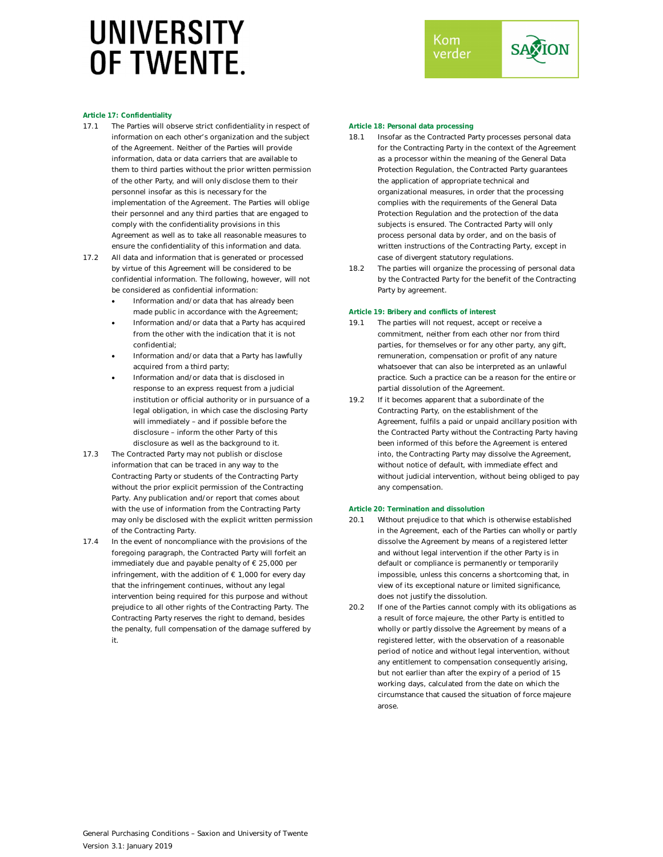

### **Article 17: Confidentiality**

- 17.1 The Parties will observe strict confidentiality in respect of information on each other's organization and the subject of the Agreement. Neither of the Parties will provide information, data or data carriers that are available to them to third parties without the prior written permission of the other Party, and will only disclose them to their personnel insofar as this is necessary for the implementation of the Agreement. The Parties will oblige their personnel and any third parties that are engaged to comply with the confidentiality provisions in this Agreement as well as to take all reasonable measures to ensure the confidentiality of this information and data.
- 17.2 All data and information that is generated or processed by virtue of this Agreement will be considered to be confidential information. The following, however, will not be considered as confidential information:
	- Information and/or data that has already been made public in accordance with the Agreement;
	- Information and/or data that a Party has acquired from the other with the indication that it is not confidential;
	- Information and/or data that a Party has lawfully acquired from a third party;
	- Information and/or data that is disclosed in response to an express request from a judicial institution or official authority or in pursuance of a legal obligation, in which case the disclosing Party will immediately – and if possible before the disclosure – inform the other Party of this disclosure as well as the background to it.
- 17.3 The Contracted Party may not publish or disclose information that can be traced in any way to the Contracting Party or students of the Contracting Party without the prior explicit permission of the Contracting Party. Any publication and/or report that comes about with the use of information from the Contracting Party may only be disclosed with the explicit written permission of the Contracting Party.
- 17.4 In the event of noncompliance with the provisions of the foregoing paragraph, the Contracted Party will forfeit an immediately due and payable penalty of € 25,000 per infringement, with the addition of  $\epsilon$  1,000 for every day that the infringement continues, without any legal intervention being required for this purpose and without prejudice to all other rights of the Contracting Party. The Contracting Party reserves the right to demand, besides the penalty, full compensation of the damage suffered by it.

#### **Article 18: Personal data processing**

- 18.1 Insofar as the Contracted Party processes personal data for the Contracting Party in the context of the Agreement as a processor within the meaning of the General Data Protection Regulation, the Contracted Party guarantees the application of appropriate technical and organizational measures, in order that the processing complies with the requirements of the General Data Protection Regulation and the protection of the data subjects is ensured. The Contracted Party will only process personal data by order, and on the basis of written instructions of the Contracting Party, except in case of divergent statutory regulations.
- 18.2 The parties will organize the processing of personal data by the Contracted Party for the benefit of the Contracting Party by agreement.

#### **Article 19: Bribery and conflicts of interest**

- 19.1 The parties will not request, accept or receive a commitment, neither from each other nor from third parties, for themselves or for any other party, any gift, remuneration, compensation or profit of any nature whatsoever that can also be interpreted as an unlawful practice. Such a practice can be a reason for the entire or partial dissolution of the Agreement.
- 19.2 If it becomes apparent that a subordinate of the Contracting Party, on the establishment of the Agreement, fulfils a paid or unpaid ancillary position with the Contracted Party without the Contracting Party having been informed of this before the Agreement is entered into, the Contracting Party may dissolve the Agreement, without notice of default, with immediate effect and without judicial intervention, without being obliged to pay any compensation.

#### **Article 20: Termination and dissolution**

- 20.1 Without prejudice to that which is otherwise established in the Agreement, each of the Parties can wholly or partly dissolve the Agreement by means of a registered letter and without legal intervention if the other Party is in default or compliance is permanently or temporarily impossible, unless this concerns a shortcoming that, in view of its exceptional nature or limited significance, does not justify the dissolution.
- 20.2 If one of the Parties cannot comply with its obligations as a result of force majeure, the other Party is entitled to wholly or partly dissolve the Agreement by means of a registered letter, with the observation of a reasonable period of notice and without legal intervention, without any entitlement to compensation consequently arising, but not earlier than after the expiry of a period of 15 working days, calculated from the date on which the circumstance that caused the situation of force majeure arose.